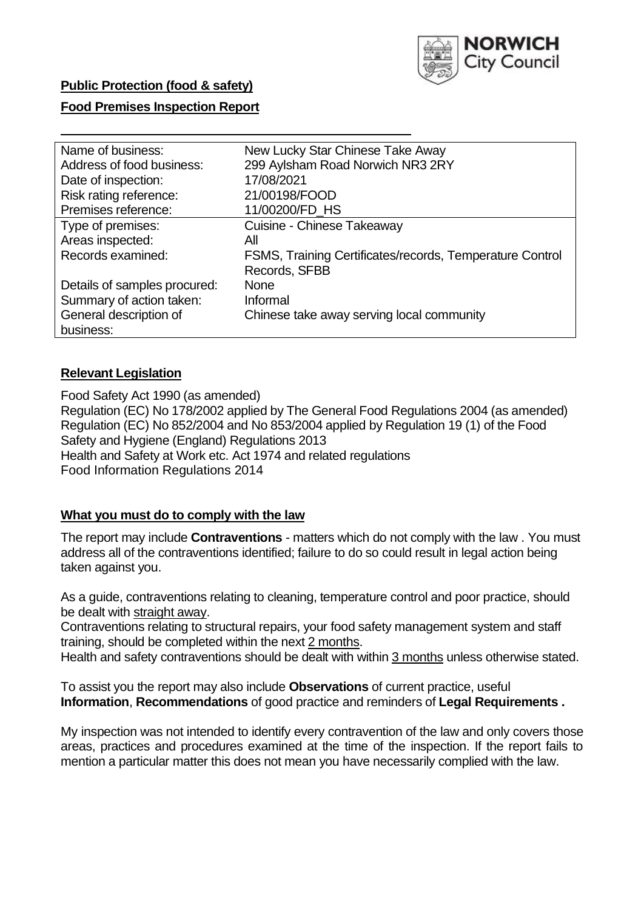

# **Public Protection (food & safety)**

### **Food Premises Inspection Report**

| Name of business:            | New Lucky Star Chinese Take Away                         |
|------------------------------|----------------------------------------------------------|
| Address of food business:    | 299 Aylsham Road Norwich NR3 2RY                         |
| Date of inspection:          | 17/08/2021                                               |
| Risk rating reference:       | 21/00198/FOOD                                            |
| Premises reference:          | 11/00200/FD_HS                                           |
| Type of premises:            | Cuisine - Chinese Takeaway                               |
| Areas inspected:             | All                                                      |
| Records examined:            | FSMS, Training Certificates/records, Temperature Control |
|                              | Records, SFBB                                            |
| Details of samples procured: | <b>None</b>                                              |
| Summary of action taken:     | Informal                                                 |
| General description of       | Chinese take away serving local community                |
| business:                    |                                                          |

## **Relevant Legislation**

Food Safety Act 1990 (as amended) Regulation (EC) No 178/2002 applied by The General Food Regulations 2004 (as amended) Regulation (EC) No 852/2004 and No 853/2004 applied by Regulation 19 (1) of the Food Safety and Hygiene (England) Regulations 2013 Health and Safety at Work etc. Act 1974 and related regulations Food Information Regulations 2014

## **What you must do to comply with the law**

The report may include **Contraventions** - matters which do not comply with the law . You must address all of the contraventions identified; failure to do so could result in legal action being taken against you.

As a guide, contraventions relating to cleaning, temperature control and poor practice, should be dealt with straight away.

Contraventions relating to structural repairs, your food safety management system and staff training, should be completed within the next 2 months.

Health and safety contraventions should be dealt with within 3 months unless otherwise stated.

To assist you the report may also include **Observations** of current practice, useful **Information**, **Recommendations** of good practice and reminders of **Legal Requirements .**

My inspection was not intended to identify every contravention of the law and only covers those areas, practices and procedures examined at the time of the inspection. If the report fails to mention a particular matter this does not mean you have necessarily complied with the law.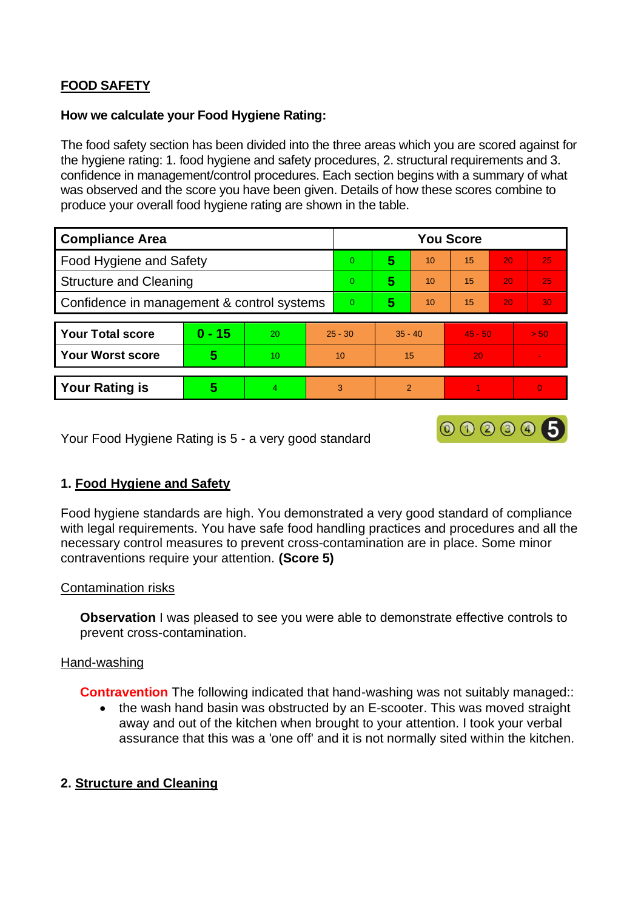# **FOOD SAFETY**

## **How we calculate your Food Hygiene Rating:**

The food safety section has been divided into the three areas which you are scored against for the hygiene rating: 1. food hygiene and safety procedures, 2. structural requirements and 3. confidence in management/control procedures. Each section begins with a summary of what was observed and the score you have been given. Details of how these scores combine to produce your overall food hygiene rating are shown in the table.

| <b>Compliance Area</b>                     |          |    |           | <b>You Score</b> |           |               |           |    |          |  |  |
|--------------------------------------------|----------|----|-----------|------------------|-----------|---------------|-----------|----|----------|--|--|
| Food Hygiene and Safety                    |          |    |           | $\overline{0}$   | 5         | 10            | 15        | 20 | 25       |  |  |
| <b>Structure and Cleaning</b>              |          |    |           | $\Omega$         | 5         | 10            | 15        | 20 | 25       |  |  |
| Confidence in management & control systems |          |    |           | $\Omega$         | 5         | 10            | 15        | 20 | 30       |  |  |
|                                            |          |    |           |                  |           |               |           |    |          |  |  |
| <b>Your Total score</b>                    | $0 - 15$ | 20 | $25 - 30$ |                  | $35 - 40$ |               | $45 - 50$ |    | > 50     |  |  |
| <b>Your Worst score</b>                    | 5        | 10 | 10        |                  | 15        |               | 20        |    |          |  |  |
|                                            |          |    |           |                  |           |               |           |    |          |  |  |
| <b>Your Rating is</b>                      | 5        | 4  |           | 3                |           | $\mathcal{P}$ |           |    | $\Omega$ |  |  |

Your Food Hygiene Rating is 5 - a very good standard

## **1. Food Hygiene and Safety**

Food hygiene standards are high. You demonstrated a very good standard of compliance with legal requirements. You have safe food handling practices and procedures and all the necessary control measures to prevent cross-contamination are in place. Some minor contraventions require your attention. **(Score 5)**

000005

## Contamination risks

**Observation** I was pleased to see you were able to demonstrate effective controls to prevent cross-contamination.

## Hand-washing

**Contravention** The following indicated that hand-washing was not suitably managed::

• the wash hand basin was obstructed by an E-scooter. This was moved straight away and out of the kitchen when brought to your attention. I took your verbal assurance that this was a 'one off' and it is not normally sited within the kitchen.

## **2. Structure and Cleaning**